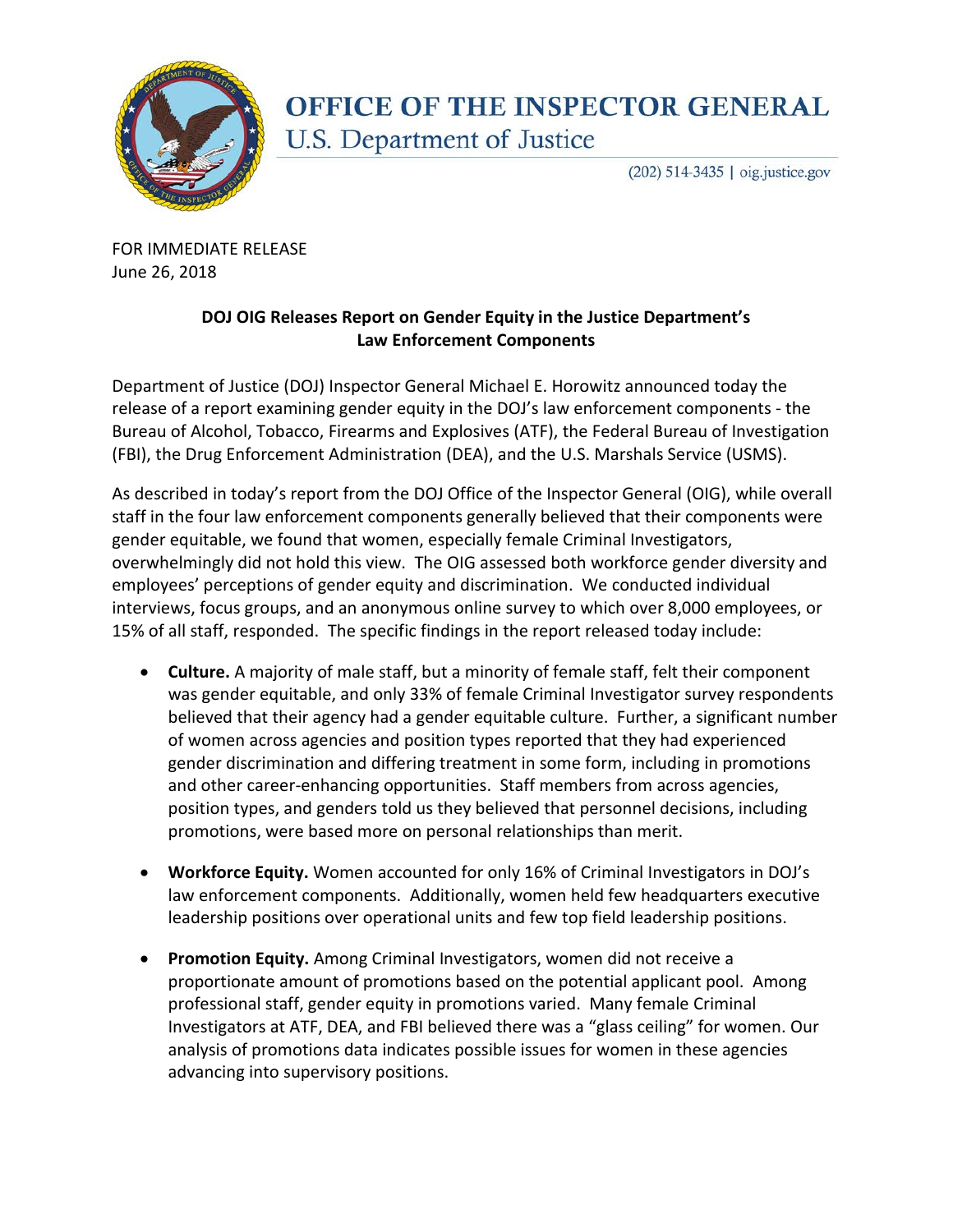

## **OFFICE OF THE INSPECTOR GENERAL** U.S. Department of Justice

 $(202)$  514-3435 | oig.justice.gov

FOR IMMEDIATE RELEASE June 26, 2018

## **DOJ OIG Releases Report on Gender Equity in the Justice Department's Law Enforcement Components**

Department of Justice (DOJ) Inspector General Michael E. Horowitz announced today the release of a report examining gender equity in the DOJ's law enforcement components - the Bureau of Alcohol, Tobacco, Firearms and Explosives (ATF), the Federal Bureau of Investigation (FBI), the Drug Enforcement Administration (DEA), and the U.S. Marshals Service (USMS).

As described in today's report from the DOJ Office of the Inspector General (OIG), while overall staff in the four law enforcement components generally believed that their components were gender equitable, we found that women, especially female Criminal Investigators, overwhelmingly did not hold this view. The OIG assessed both workforce gender diversity and employees' perceptions of gender equity and discrimination. We conducted individual interviews, focus groups, and an anonymous online survey to which over 8,000 employees, or 15% of all staff, responded. The specific findings in the report released today include:

- **Culture.** A majority of male staff, but a minority of female staff, felt their component was gender equitable, and only 33% of female Criminal Investigator survey respondents believed that their agency had a gender equitable culture. Further, a significant number of women across agencies and position types reported that they had experienced gender discrimination and differing treatment in some form, including in promotions and other career-enhancing opportunities. Staff members from across agencies, position types, and genders told us they believed that personnel decisions, including promotions, were based more on personal relationships than merit.
- **Workforce Equity.** Women accounted for only 16% of Criminal Investigators in DOJ's law enforcement components. Additionally, women held few headquarters executive leadership positions over operational units and few top field leadership positions.
- **Promotion Equity.** Among Criminal Investigators, women did not receive a proportionate amount of promotions based on the potential applicant pool. Among professional staff, gender equity in promotions varied. Many female Criminal Investigators at ATF, DEA, and FBI believed there was a "glass ceiling" for women. Our analysis of promotions data indicates possible issues for women in these agencies advancing into supervisory positions.